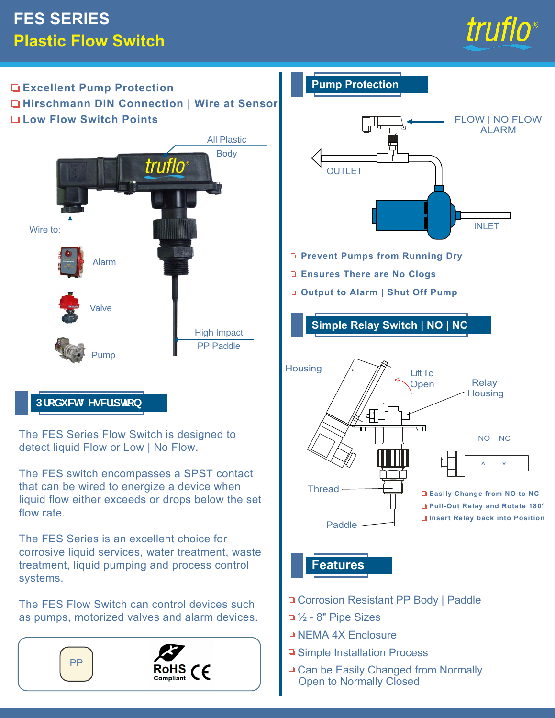# **FES SERIES Plastic Flow Switch**



#### **Excellent Pump Protection Hirschmann DIN Connection | Wire at Sensor Low Flow Switch Points**



# DfcXi Wi8 YgW]dhcb

The FES Series Flow Switch is designed to detect liquid Flow or Low | No Flow.

The FES switch encompasses a SPST contact that can be wired to energize a device when liquid flow either exceeds or drops below the set flow rate.

The FES Series is an excellent choice for corrosive liquid services, water treatment, waste treatment, liquid pumping and process control systems.

The FES Flow Switch can control devices such as pumps, motorized valves and alarm devices.



#### **Pump Protection**



- **Prevent Pumps from Running Dry**
- **Ensures There are No Clogs**
- **Output to Alarm | Shut Off Pump**

**Simple Relay Switch | NO | NC** 



# **Features**

- □ Corrosion Resistant PP Body | Paddle
- $\Box$  1/<sub>2</sub> 8" Pipe Sizes
- **NEMA 4X Enclosure**
- **□ Simple Installation Process**
- □ Can be Easily Changed from Normally Open to Normally Closed